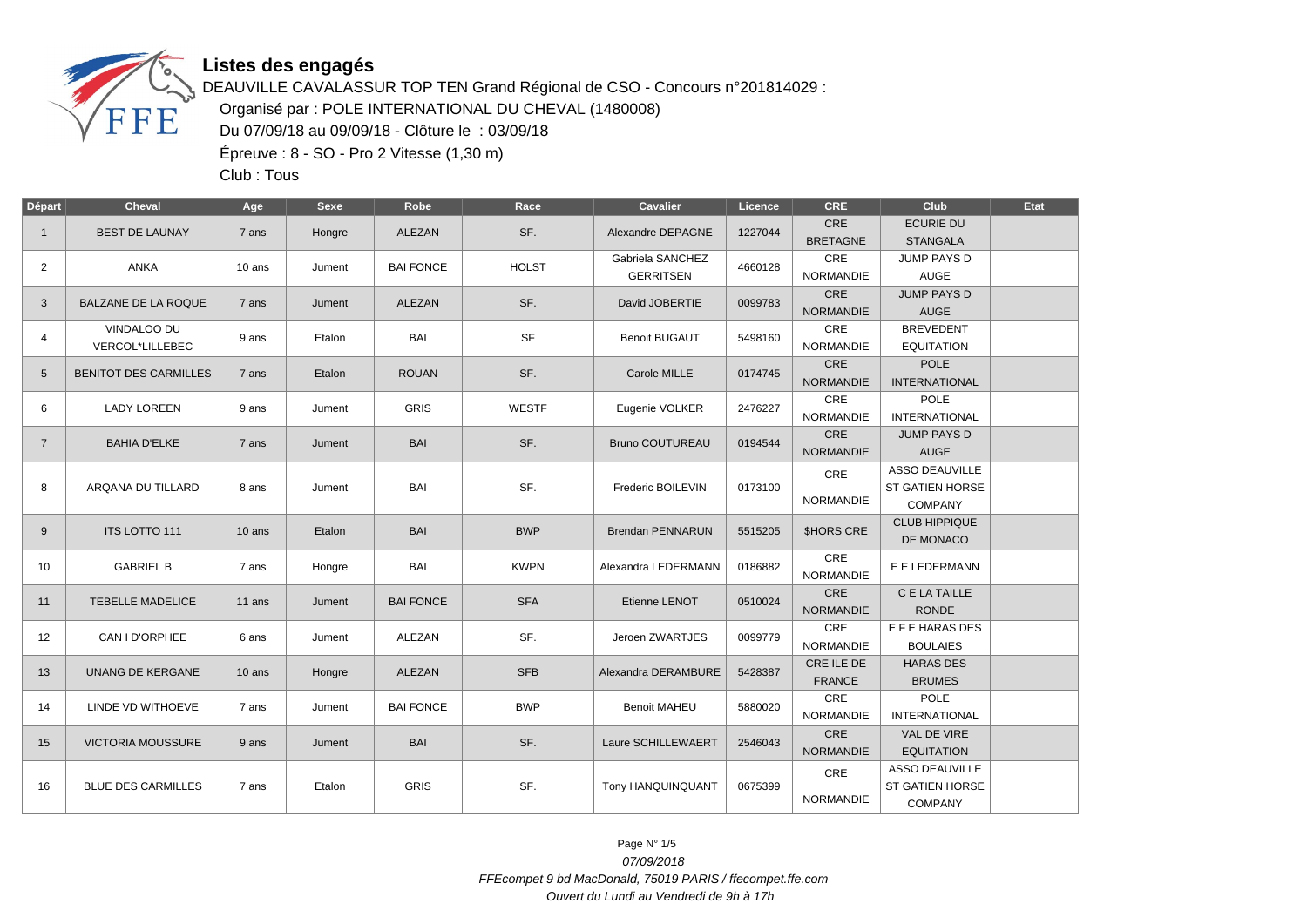

## **Listes des engagés**

DEAUVILLE CAVALASSUR TOP TEN Grand Régional de CSO - Concours n°201814029 : Organisé par : POLE INTERNATIONAL DU CHEVAL (1480008) Du 07/09/18 au 09/09/18 - Clôture le : 03/09/18 Épreuve : 8 - SO - Pro 2 Vitesse (1,30 m)

Club : Tous

| <b>Départ</b>  | <b>Cheval</b>                | Age      | <b>Sexe</b> | Robe             | Race         | Cavalier                | Licence | <b>CRE</b>              | Club                                   | Etat |
|----------------|------------------------------|----------|-------------|------------------|--------------|-------------------------|---------|-------------------------|----------------------------------------|------|
| $\mathbf{1}$   | <b>BEST DE LAUNAY</b>        | 7 ans    | Hongre      | ALEZAN           | SF.          | Alexandre DEPAGNE       | 1227044 | CRE                     | <b>ECURIE DU</b>                       |      |
|                |                              |          |             |                  |              |                         |         | <b>BRETAGNE</b>         | <b>STANGALA</b>                        |      |
| $\overline{2}$ | <b>ANKA</b>                  | 10 ans   | Jument      | <b>BAI FONCE</b> | <b>HOLST</b> | Gabriela SANCHEZ        | 4660128 | CRE                     | JUMP PAYS D                            |      |
|                |                              |          |             |                  |              | <b>GERRITSEN</b>        |         | <b>NORMANDIE</b>        | <b>AUGE</b>                            |      |
| 3              | BALZANE DE LA ROQUE          | 7 ans    | Jument      | ALEZAN           | SF.          | David JOBERTIE          | 0099783 | <b>CRE</b>              | <b>JUMP PAYS D</b>                     |      |
|                |                              |          |             |                  |              |                         |         | <b>NORMANDIE</b>        | <b>AUGE</b>                            |      |
| 4              | <b>VINDALOO DU</b>           | 9 ans    | Etalon      | BAI              | <b>SF</b>    | <b>Benoit BUGAUT</b>    | 5498160 | CRE                     | <b>BREVEDENT</b>                       |      |
|                | VERCOL*LILLEBEC              |          |             |                  |              |                         |         | <b>NORMANDIE</b>        | <b>EQUITATION</b>                      |      |
| 5              | <b>BENITOT DES CARMILLES</b> | 7 ans    | Etalon      | <b>ROUAN</b>     | SF.          | Carole MILLE            | 0174745 | <b>CRE</b>              | <b>POLE</b>                            |      |
|                |                              |          |             |                  |              |                         |         | <b>NORMANDIE</b>        | <b>INTERNATIONAL</b>                   |      |
| 6              | <b>LADY LOREEN</b>           | 9 ans    | Jument      | <b>GRIS</b>      | <b>WESTF</b> | Eugenie VOLKER          | 2476227 | CRE                     | <b>POLE</b>                            |      |
|                |                              |          |             |                  |              |                         |         | <b>NORMANDIE</b>        | <b>INTERNATIONAL</b>                   |      |
| $\overline{7}$ | <b>BAHIA D'ELKE</b>          | 7 ans    | Jument      | <b>BAI</b>       | SF.          | <b>Bruno COUTUREAU</b>  | 0194544 | <b>CRE</b>              | <b>JUMP PAYS D</b>                     |      |
|                |                              |          |             |                  |              |                         |         | <b>NORMANDIE</b>        | <b>AUGE</b>                            |      |
|                |                              |          |             |                  |              |                         |         | CRE                     | <b>ASSO DEAUVILLE</b>                  |      |
| 8              | ARQANA DU TILLARD            | 8 ans    | Jument      | BAI              | SF.          | Frederic BOILEVIN       | 0173100 | NORMANDIE               | <b>ST GATIEN HORSE</b>                 |      |
|                |                              |          |             |                  |              |                         |         |                         | <b>COMPANY</b><br><b>CLUB HIPPIQUE</b> |      |
| 9              | ITS LOTTO 111                | 10 ans   | Etalon      | <b>BAI</b>       | <b>BWP</b>   | <b>Brendan PENNARUN</b> | 5515205 | <b><i>SHORS CRE</i></b> | DE MONACO                              |      |
|                |                              |          |             |                  |              |                         |         | CRE                     |                                        |      |
| 10             | <b>GABRIEL B</b>             | 7 ans    | Hongre      | BAI              | <b>KWPN</b>  | Alexandra LEDERMANN     | 0186882 | <b>NORMANDIE</b>        | E E LEDERMANN                          |      |
|                |                              |          |             |                  |              |                         |         | CRE                     | C E LA TAILLE                          |      |
| 11             | <b>TEBELLE MADELICE</b>      | 11 ans   | Jument      | <b>BAI FONCE</b> | <b>SFA</b>   | Etienne LENOT           | 0510024 | <b>NORMANDIE</b>        | <b>RONDE</b>                           |      |
|                |                              |          |             |                  |              |                         |         | <b>CRE</b>              | E F E HARAS DES                        |      |
| 12             | CAN I D'ORPHEE               | 6 ans    | Jument      | ALEZAN           | SF.          | Jeroen ZWARTJES         | 0099779 | <b>NORMANDIE</b>        | <b>BOULAIES</b>                        |      |
|                |                              |          |             |                  |              |                         |         | CRE ILE DE              | <b>HARAS DES</b>                       |      |
| 13             | UNANG DE KERGANE             | $10$ ans | Hongre      | ALEZAN           | <b>SFB</b>   | Alexandra DERAMBURE     | 5428387 | <b>FRANCE</b>           | <b>BRUMES</b>                          |      |
|                |                              |          |             |                  |              |                         |         | CRE                     | <b>POLE</b>                            |      |
| 14             | LINDE VD WITHOEVE            | 7 ans    | Jument      | <b>BAI FONCE</b> | <b>BWP</b>   | <b>Benoit MAHEU</b>     | 5880020 | NORMANDIE               | <b>INTERNATIONAL</b>                   |      |
|                |                              |          |             |                  |              |                         |         | CRE                     | VAL DE VIRE                            |      |
| 15             | <b>VICTORIA MOUSSURE</b>     | 9 ans    | Jument      | <b>BAI</b>       | SF.          | Laure SCHILLEWAERT      | 2546043 | <b>NORMANDIE</b>        | <b>EQUITATION</b>                      |      |
|                |                              |          |             |                  |              |                         |         | CRE                     | ASSO DEAUVILLE                         |      |
| 16             | <b>BLUE DES CARMILLES</b>    | 7 ans    | Etalon      | <b>GRIS</b>      | SF.          | Tony HANQUINQUANT       | 0675399 |                         | ST GATIEN HORSE                        |      |
|                |                              |          |             |                  |              |                         |         | NORMANDIE               | <b>COMPANY</b>                         |      |

Page N° 1/5 07/09/2018 FFEcompet 9 bd MacDonald, 75019 PARIS / ffecompet.ffe.com Ouvert du Lundi au Vendredi de 9h à 17h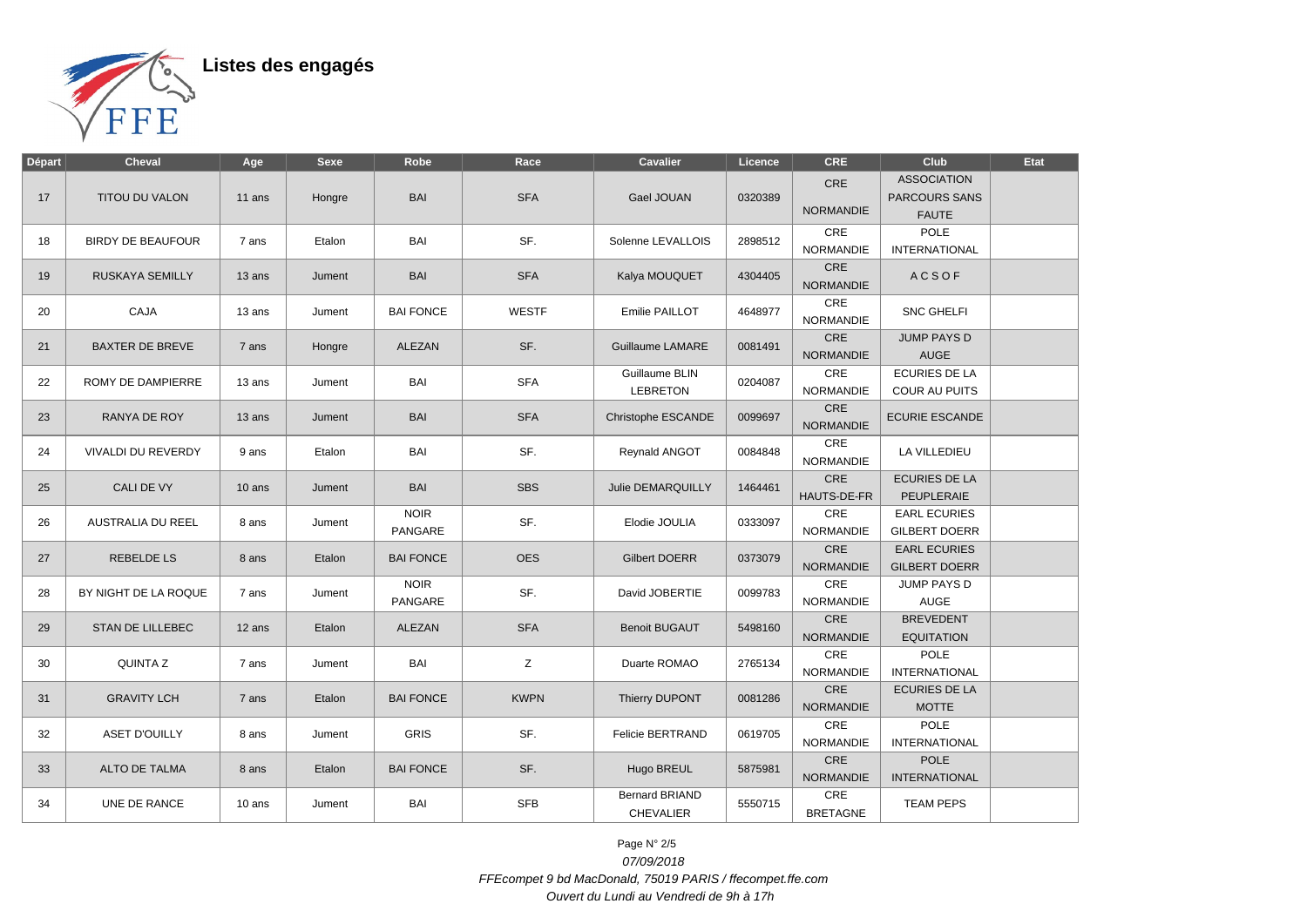

| <b>Départ</b> | <b>Cheval</b>            | Age      | <b>Sexe</b> | Robe                   | Race         | <b>Cavalier</b>                           | Licence | <b>CRE</b>                         | Club                                                       | Etat |
|---------------|--------------------------|----------|-------------|------------------------|--------------|-------------------------------------------|---------|------------------------------------|------------------------------------------------------------|------|
| 17            | <b>TITOU DU VALON</b>    | 11 ans   | Hongre      | <b>BAI</b>             | <b>SFA</b>   | Gael JOUAN                                | 0320389 | CRE<br><b>NORMANDIE</b>            | <b>ASSOCIATION</b><br><b>PARCOURS SANS</b><br><b>FAUTE</b> |      |
| 18            | <b>BIRDY DE BEAUFOUR</b> | 7 ans    | Etalon      | BAI                    | SF.          | Solenne LEVALLOIS                         | 2898512 | CRE<br><b>NORMANDIE</b>            | POLE<br><b>INTERNATIONAL</b>                               |      |
| 19            | RUSKAYA SEMILLY          | 13 ans   | Jument      | <b>BAI</b>             | <b>SFA</b>   | Kalya MOUQUET                             | 4304405 | CRE<br><b>NORMANDIE</b>            | <b>ACSOF</b>                                               |      |
| 20            | CAJA                     | 13 ans   | Jument      | <b>BAI FONCE</b>       | <b>WESTF</b> | Emilie PAILLOT                            | 4648977 | CRE<br><b>NORMANDIE</b>            | <b>SNC GHELFI</b>                                          |      |
| 21            | <b>BAXTER DE BREVE</b>   | 7 ans    | Hongre      | ALEZAN                 | SF.          | <b>Guillaume LAMARE</b>                   | 0081491 | CRE<br><b>NORMANDIE</b>            | <b>JUMP PAYS D</b><br><b>AUGE</b>                          |      |
| 22            | ROMY DE DAMPIERRE        | 13 ans   | Jument      | BAI                    | <b>SFA</b>   | Guillaume BLIN<br><b>LEBRETON</b>         | 0204087 | $\mathsf{CRE}$<br><b>NORMANDIE</b> | <b>ECURIES DE LA</b><br><b>COUR AU PUITS</b>               |      |
| 23            | RANYA DE ROY             | 13 ans   | Jument      | BAI                    | <b>SFA</b>   | Christophe ESCANDE                        | 0099697 | CRE<br><b>NORMANDIE</b>            | <b>ECURIE ESCANDE</b>                                      |      |
| 24            | VIVALDI DU REVERDY       | 9 ans    | Etalon      | BAI                    | SF.          | Reynald ANGOT                             | 0084848 | CRE<br><b>NORMANDIE</b>            | LA VILLEDIEU                                               |      |
| 25            | <b>CALI DE VY</b>        | $10$ ans | Jument      | <b>BAI</b>             | <b>SBS</b>   | <b>Julie DEMARQUILLY</b>                  | 1464461 | CRE<br>HAUTS-DE-FR                 | <b>ECURIES DE LA</b><br>PEUPLERAIE                         |      |
| 26            | <b>AUSTRALIA DU REEL</b> | 8 ans    | Jument      | <b>NOIR</b><br>PANGARE | SF.          | Elodie JOULIA                             | 0333097 | CRE<br><b>NORMANDIE</b>            | <b>EARL ECURIES</b><br><b>GILBERT DOERR</b>                |      |
| 27            | <b>REBELDE LS</b>        | 8 ans    | Etalon      | <b>BAI FONCE</b>       | <b>OES</b>   | <b>Gilbert DOERR</b>                      | 0373079 | CRE<br><b>NORMANDIE</b>            | <b>EARL ECURIES</b><br><b>GILBERT DOERR</b>                |      |
| 28            | BY NIGHT DE LA ROQUE     | 7 ans    | Jument      | <b>NOIR</b><br>PANGARE | SF.          | David JOBERTIE                            | 0099783 | CRE<br><b>NORMANDIE</b>            | <b>JUMP PAYS D</b><br>AUGE                                 |      |
| 29            | <b>STAN DE LILLEBEC</b>  | 12 ans   | Etalon      | ALEZAN                 | <b>SFA</b>   | <b>Benoit BUGAUT</b>                      | 5498160 | CRE<br><b>NORMANDIE</b>            | <b>BREVEDENT</b><br><b>EQUITATION</b>                      |      |
| 30            | <b>QUINTA Z</b>          | 7 ans    | Jument      | BAI                    | Z            | Duarte ROMAO                              | 2765134 | CRE<br><b>NORMANDIE</b>            | POLE<br><b>INTERNATIONAL</b>                               |      |
| 31            | <b>GRAVITY LCH</b>       | 7 ans    | Etalon      | <b>BAI FONCE</b>       | <b>KWPN</b>  | Thierry DUPONT                            | 0081286 | CRE<br><b>NORMANDIE</b>            | <b>ECURIES DE LA</b><br><b>MOTTE</b>                       |      |
| 32            | <b>ASET D'OUILLY</b>     | 8 ans    | Jument      | <b>GRIS</b>            | SF.          | <b>Felicie BERTRAND</b>                   | 0619705 | CRE<br><b>NORMANDIE</b>            | POLE<br><b>INTERNATIONAL</b>                               |      |
| 33            | <b>ALTO DE TALMA</b>     | 8 ans    | Etalon      | <b>BAI FONCE</b>       | SF.          | Hugo BREUL                                | 5875981 | CRE<br><b>NORMANDIE</b>            | <b>POLE</b><br><b>INTERNATIONAL</b>                        |      |
| 34            | UNE DE RANCE             | 10 ans   | Jument      | BAI                    | <b>SFB</b>   | <b>Bernard BRIAND</b><br><b>CHEVALIER</b> | 5550715 | CRE<br><b>BRETAGNE</b>             | <b>TEAM PEPS</b>                                           |      |

Page N° 2/5 07/09/2018 FFEcompet 9 bd MacDonald, 75019 PARIS / ffecompet.ffe.com Ouvert du Lundi au Vendredi de 9h à 17h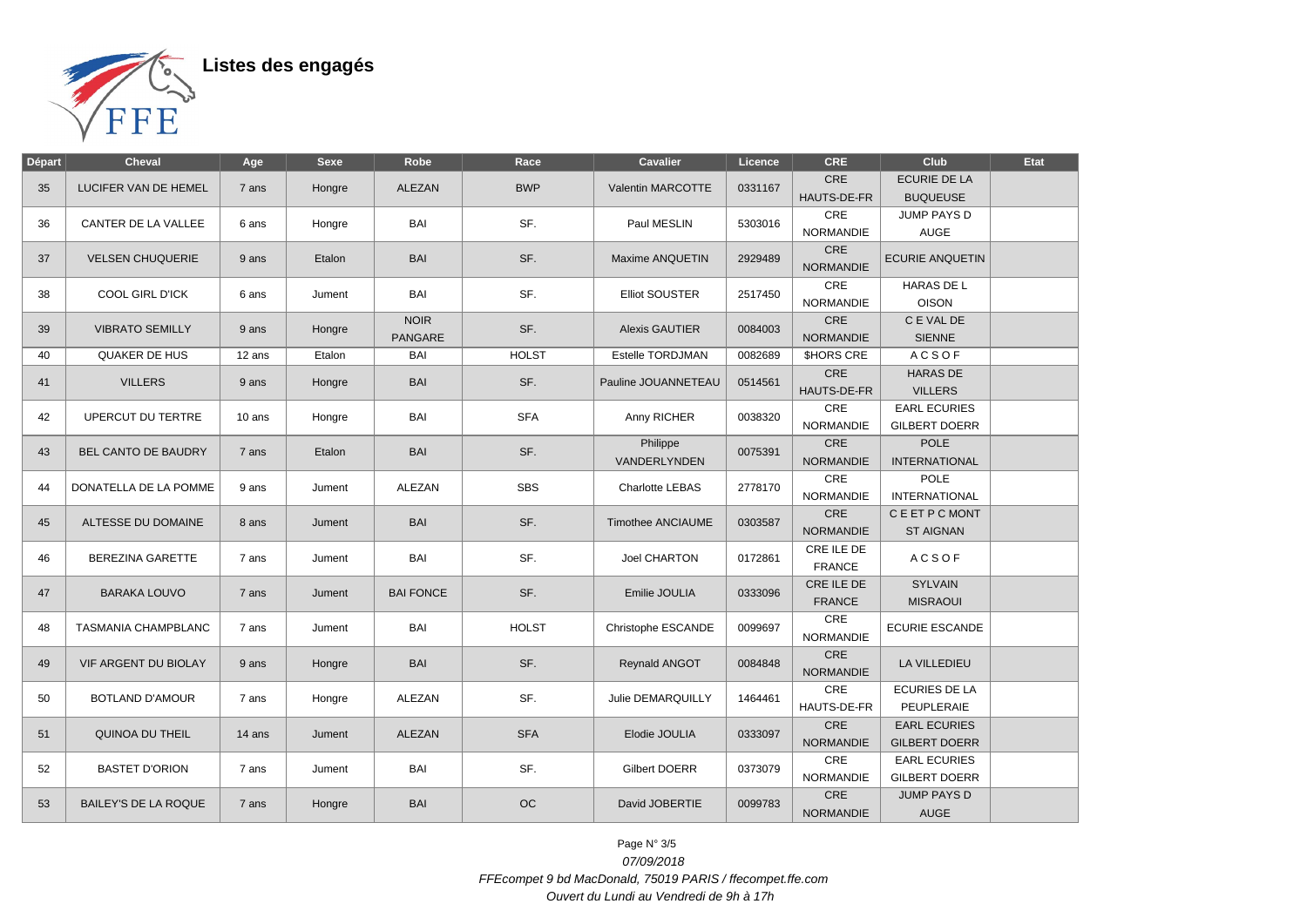

Listes des engagés

| <b>Départ</b> | <b>Cheval</b>               | Age    | <b>Sexe</b> | Robe                          | Race         | <b>Cavalier</b>          | Licence | <b>CRE</b>                     | Club                                        | Etat |
|---------------|-----------------------------|--------|-------------|-------------------------------|--------------|--------------------------|---------|--------------------------------|---------------------------------------------|------|
| 35            | <b>LUCIFER VAN DE HEMEL</b> | 7 ans  | Hongre      | <b>ALEZAN</b>                 | <b>BWP</b>   | Valentin MARCOTTE        | 0331167 | <b>CRE</b><br>HAUTS-DE-FR      | <b>ECURIE DE LA</b><br><b>BUQUEUSE</b>      |      |
| 36            | CANTER DE LA VALLEE         | 6 ans  | Hongre      | BAI                           | SF.          | Paul MESLIN              | 5303016 | <b>CRE</b><br><b>NORMANDIE</b> | JUMP PAYS D<br><b>AUGE</b>                  |      |
| 37            | <b>VELSEN CHUQUERIE</b>     | 9 ans  | Etalon      | <b>BAI</b>                    | SF.          | Maxime ANQUETIN          | 2929489 | <b>CRE</b><br><b>NORMANDIE</b> | <b>ECURIE ANQUETIN</b>                      |      |
| 38            | COOL GIRL D'ICK             | 6 ans  | Jument      | BAI                           | SF.          | <b>Elliot SOUSTER</b>    | 2517450 | CRE<br><b>NORMANDIE</b>        | <b>HARAS DE L</b><br><b>OISON</b>           |      |
| 39            | <b>VIBRATO SEMILLY</b>      | 9 ans  | Hongre      | <b>NOIR</b><br><b>PANGARE</b> | SF.          | <b>Alexis GAUTIER</b>    | 0084003 | CRE<br><b>NORMANDIE</b>        | C E VAL DE<br><b>SIENNE</b>                 |      |
| 40            | <b>QUAKER DE HUS</b>        | 12 ans | Etalon      | BAI                           | <b>HOLST</b> | Estelle TORDJMAN         | 0082689 | <b>SHORS CRE</b>               | <b>ACSOF</b>                                |      |
| 41            | <b>VILLERS</b>              | 9 ans  | Hongre      | <b>BAI</b>                    | SF.          | Pauline JOUANNETEAU      | 0514561 | CRE<br><b>HAUTS-DE-FR</b>      | <b>HARAS DE</b><br><b>VILLERS</b>           |      |
| 42            | UPERCUT DU TERTRE           | 10 ans | Hongre      | BAI                           | <b>SFA</b>   | Anny RICHER              | 0038320 | CRE<br><b>NORMANDIE</b>        | <b>EARL ECURIES</b><br><b>GILBERT DOERR</b> |      |
| 43            | BEL CANTO DE BAUDRY         | 7 ans  | Etalon      | <b>BAI</b>                    | SF.          | Philippe<br>VANDERLYNDEN | 0075391 | CRE<br><b>NORMANDIE</b>        | <b>POLE</b><br><b>INTERNATIONAL</b>         |      |
| 44            | DONATELLA DE LA POMME       | 9 ans  | Jument      | <b>ALEZAN</b>                 | <b>SBS</b>   | Charlotte LEBAS          | 2778170 | CRE<br><b>NORMANDIE</b>        | <b>POLE</b><br><b>INTERNATIONAL</b>         |      |
| 45            | ALTESSE DU DOMAINE          | 8 ans  | Jument      | <b>BAI</b>                    | SF.          | <b>Timothee ANCIAUME</b> | 0303587 | CRE<br><b>NORMANDIE</b>        | C E ET P C MONT<br><b>ST AIGNAN</b>         |      |
| 46            | <b>BEREZINA GARETTE</b>     | 7 ans  | Jument      | BAI                           | SF.          | <b>Joel CHARTON</b>      | 0172861 | CRE ILE DE<br><b>FRANCE</b>    | <b>ACSOF</b>                                |      |
| 47            | <b>BARAKA LOUVO</b>         | 7 ans  | Jument      | <b>BAI FONCE</b>              | SF.          | Emilie JOULIA            | 0333096 | CRE ILE DE<br><b>FRANCE</b>    | <b>SYLVAIN</b><br><b>MISRAOUI</b>           |      |
| 48            | TASMANIA CHAMPBLANC         | 7 ans  | Jument      | BAI                           | <b>HOLST</b> | Christophe ESCANDE       | 0099697 | CRE<br><b>NORMANDIE</b>        | <b>ECURIE ESCANDE</b>                       |      |
| 49            | <b>VIF ARGENT DU BIOLAY</b> | 9 ans  | Hongre      | <b>BAI</b>                    | SF.          | Reynald ANGOT            | 0084848 | CRE<br><b>NORMANDIE</b>        | LA VILLEDIEU                                |      |
| 50            | <b>BOTLAND D'AMOUR</b>      | 7 ans  | Hongre      | ALEZAN                        | SF.          | Julie DEMARQUILLY        | 1464461 | CRE<br>HAUTS-DE-FR             | <b>ECURIES DE LA</b><br>PEUPLERAIE          |      |
| 51            | QUINOA DU THEIL             | 14 ans | Jument      | <b>ALEZAN</b>                 | <b>SFA</b>   | Elodie JOULIA            | 0333097 | CRE<br><b>NORMANDIE</b>        | <b>EARL ECURIES</b><br><b>GILBERT DOERR</b> |      |
| 52            | <b>BASTET D'ORION</b>       | 7 ans  | Jument      | BAI                           | SF.          | Gilbert DOERR            | 0373079 | CRE<br><b>NORMANDIE</b>        | <b>EARL ECURIES</b><br><b>GILBERT DOERR</b> |      |
| 53            | <b>BAILEY'S DE LA ROQUE</b> | 7 ans  | Hongre      | <b>BAI</b>                    | <b>OC</b>    | David JOBERTIE           | 0099783 | CRE<br><b>NORMANDIE</b>        | <b>JUMP PAYS D</b><br>AUGE                  |      |

Page N° 3/5 07/09/2018 FFEcompet 9 bd MacDonald, 75019 PARIS / ffecompet.ffe.com Ouvert du Lundi au Vendredi de 9h à 17h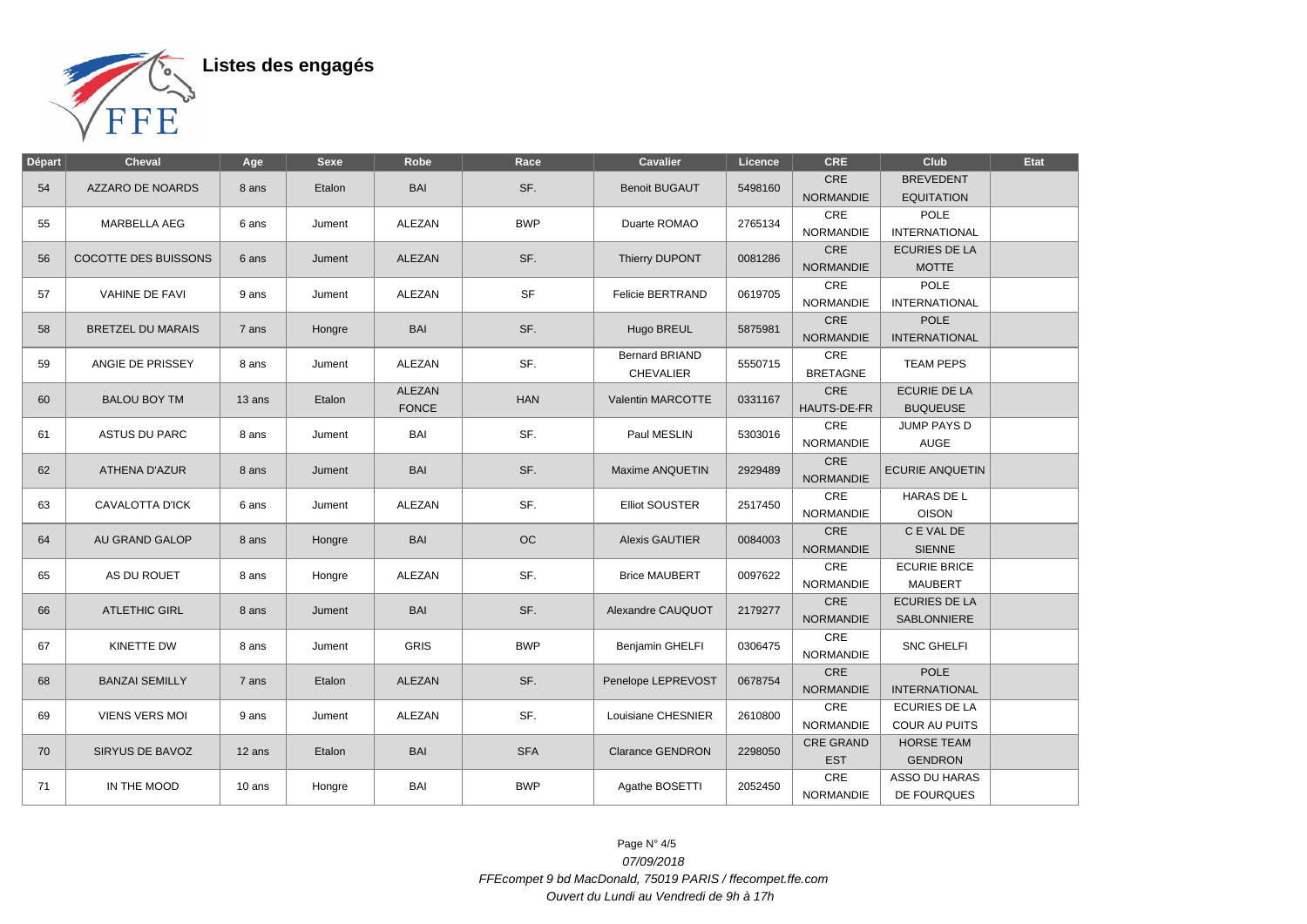

Listes des engagés

| <b>Départ</b> | <b>Cheval</b>               | Age    | <b>Sexe</b> | Robe          | Race       | Cavalier                | Licence | <b>CRE</b>              | Club                                  | Etat |
|---------------|-----------------------------|--------|-------------|---------------|------------|-------------------------|---------|-------------------------|---------------------------------------|------|
| 54            | AZZARO DE NOARDS            | 8 ans  | Etalon      | <b>BAI</b>    | SF.        | <b>Benoit BUGAUT</b>    | 5498160 | CRE<br><b>NORMANDIE</b> | <b>BREVEDENT</b><br><b>EQUITATION</b> |      |
|               |                             |        |             |               |            |                         |         | <b>CRE</b>              | <b>POLE</b>                           |      |
| 55            | <b>MARBELLA AEG</b>         | 6 ans  | Jument      | <b>ALEZAN</b> | <b>BWP</b> | Duarte ROMAO            | 2765134 | <b>NORMANDIE</b>        | <b>INTERNATIONAL</b>                  |      |
|               |                             |        |             |               |            |                         |         | CRE                     |                                       |      |
| 56            | <b>COCOTTE DES BUISSONS</b> | 6 ans  | Jument      | ALEZAN        | SF.        | Thierry DUPONT          | 0081286 | <b>NORMANDIE</b>        | <b>ECURIES DE LA</b>                  |      |
|               |                             |        |             |               |            |                         |         | CRE                     | <b>MOTTE</b><br><b>POLE</b>           |      |
| 57            | <b>VAHINE DE FAVI</b>       | 9 ans  | Jument      | <b>ALEZAN</b> | <b>SF</b>  | <b>Felicie BERTRAND</b> | 0619705 | <b>NORMANDIE</b>        | <b>INTERNATIONAL</b>                  |      |
|               |                             |        |             |               |            |                         |         | CRE                     | <b>POLE</b>                           |      |
| 58            | <b>BRETZEL DU MARAIS</b>    | 7 ans  | Hongre      | <b>BAI</b>    | SF.        | Hugo BREUL              | 5875981 | <b>NORMANDIE</b>        | <b>INTERNATIONAL</b>                  |      |
|               |                             |        |             |               |            | Bernard BRIAND          |         | CRE                     |                                       |      |
| 59            | ANGIE DE PRISSEY            | 8 ans  | Jument      | ALEZAN        | SF.        | <b>CHEVALIER</b>        | 5550715 | <b>BRETAGNE</b>         | <b>TEAM PEPS</b>                      |      |
|               |                             |        |             | ALEZAN        |            |                         |         | CRE                     | <b>ECURIE DE LA</b>                   |      |
| 60            | <b>BALOU BOY TM</b>         | 13 ans | Etalon      | <b>FONCE</b>  | <b>HAN</b> | Valentin MARCOTTE       | 0331167 | HAUTS-DE-FR             | <b>BUQUEUSE</b>                       |      |
|               |                             |        |             |               |            |                         |         | CRE                     | JUMP PAYS D                           |      |
| 61            | <b>ASTUS DU PARC</b>        | 8 ans  | Jument      | BAI           | SF.        | Paul MESLIN             | 5303016 | NORMANDIE               | <b>AUGE</b>                           |      |
|               |                             |        |             |               |            |                         |         | CRE                     |                                       |      |
| 62            | <b>ATHENA D'AZUR</b>        | 8 ans  | Jument      | <b>BAI</b>    | SF.        | Maxime ANQUETIN         | 2929489 | <b>NORMANDIE</b>        | <b>ECURIE ANQUETIN</b>                |      |
|               |                             |        |             |               |            |                         |         | CRE                     | HARAS DE L                            |      |
| 63            | CAVALOTTA D'ICK             | 6 ans  | Jument      | ALEZAN        | SF.        | <b>Elliot SOUSTER</b>   | 2517450 | NORMANDIE               | <b>OISON</b>                          |      |
|               |                             |        |             |               |            |                         |         | CRE                     | C E VAL DE                            |      |
| 64            | AU GRAND GALOP              | 8 ans  | Hongre      | <b>BAI</b>    | <b>OC</b>  | <b>Alexis GAUTIER</b>   | 0084003 | <b>NORMANDIE</b>        | <b>SIENNE</b>                         |      |
|               |                             |        |             |               |            |                         |         | CRE                     | <b>ECURIE BRICE</b>                   |      |
| 65            | AS DU ROUET                 | 8 ans  | Hongre      | <b>ALEZAN</b> | SF.        | <b>Brice MAUBERT</b>    | 0097622 | <b>NORMANDIE</b>        | <b>MAUBERT</b>                        |      |
|               |                             |        |             |               |            |                         |         | CRE                     | <b>ECURIES DE LA</b>                  |      |
| 66            | <b>ATLETHIC GIRL</b>        | 8 ans  | Jument      | <b>BAI</b>    | SF.        | Alexandre CAUQUOT       | 2179277 | <b>NORMANDIE</b>        | SABLONNIERE                           |      |
|               |                             |        |             |               |            |                         |         | CRE                     |                                       |      |
| 67            | KINETTE DW                  | 8 ans  | Jument      | <b>GRIS</b>   | <b>BWP</b> | Benjamin GHELFI         | 0306475 | <b>NORMANDIE</b>        | <b>SNC GHELFI</b>                     |      |
|               |                             |        |             |               |            |                         |         | CRE                     | <b>POLE</b>                           |      |
| 68            | <b>BANZAI SEMILLY</b>       | 7 ans  | Etalon      | ALEZAN        | SF.        | Penelope LEPREVOST      | 0678754 | <b>NORMANDIE</b>        | <b>INTERNATIONAL</b>                  |      |
|               |                             |        |             |               |            |                         |         | CRE                     | <b>ECURIES DE LA</b>                  |      |
| 69            | <b>VIENS VERS MOI</b>       | 9 ans  | Jument      | <b>ALEZAN</b> | SF.        | Louisiane CHESNIER      | 2610800 | <b>NORMANDIE</b>        | <b>COUR AU PUITS</b>                  |      |
|               | SIRYUS DE BAVOZ             |        |             | <b>BAI</b>    | <b>SFA</b> | <b>Clarance GENDRON</b> | 2298050 | <b>CRE GRAND</b>        | <b>HORSE TEAM</b>                     |      |
| 70            |                             | 12 ans | Etalon      |               |            |                         |         | <b>EST</b>              | <b>GENDRON</b>                        |      |
|               |                             |        |             |               |            |                         |         | CRE                     | ASSO DU HARAS                         |      |
| 71            | IN THE MOOD                 | 10 ans | Hongre      | BAI           | <b>BWP</b> | Agathe BOSETTI          | 2052450 | <b>NORMANDIE</b>        | DE FOURQUES                           |      |

Page N° 4/5 07/09/2018 FFEcompet 9 bd MacDonald, 75019 PARIS / ffecompet.ffe.com Ouvert du Lundi au Vendredi de 9h à 17h